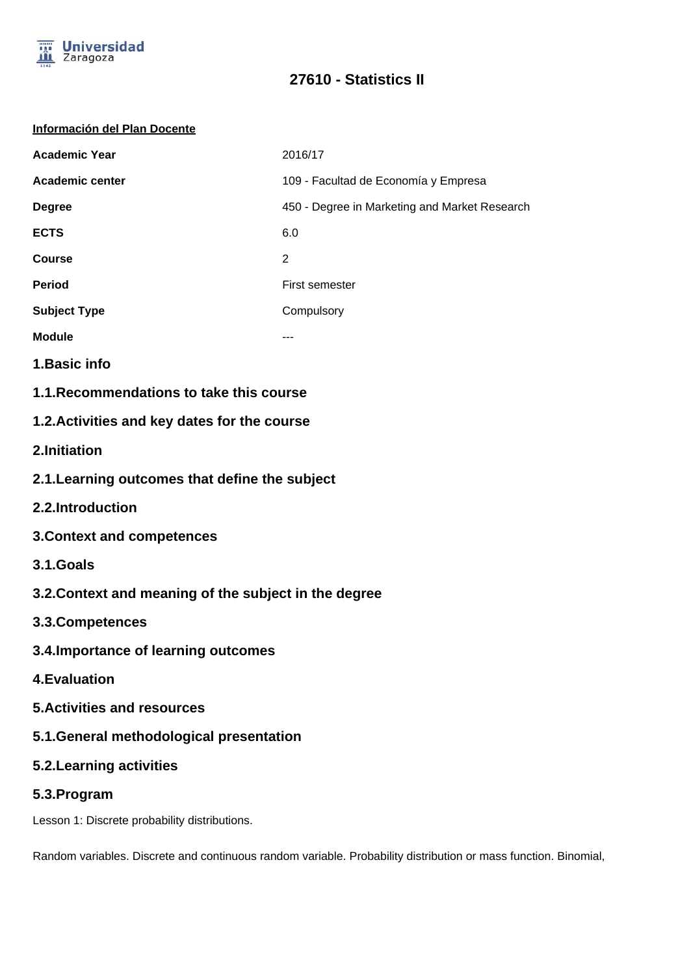

# **27610 - Statistics II**

#### **Información del Plan Docente**

| <b>Academic Year</b>   | 2016/17                                       |
|------------------------|-----------------------------------------------|
| <b>Academic center</b> | 109 - Facultad de Economía y Empresa          |
| <b>Degree</b>          | 450 - Degree in Marketing and Market Research |
| <b>ECTS</b>            | 6.0                                           |
| <b>Course</b>          | 2                                             |
| <b>Period</b>          | First semester                                |
| <b>Subject Type</b>    | Compulsory                                    |
| <b>Module</b>          |                                               |
| .                      |                                               |

- **1.Basic info**
- **1.1.Recommendations to take this course**

## **1.2.Activities and key dates for the course**

- **2.Initiation**
- **2.1.Learning outcomes that define the subject**
- **2.2.Introduction**
- **3.Context and competences**
- **3.1.Goals**
- **3.2.Context and meaning of the subject in the degree**
- **3.3.Competences**
- **3.4.Importance of learning outcomes**
- **4.Evaluation**
- **5.Activities and resources**
- **5.1.General methodological presentation**
- **5.2.Learning activities**
- **5.3.Program**

Lesson 1: Discrete probability distributions.

Random variables. Discrete and continuous random variable. Probability distribution or mass function. Binomial,